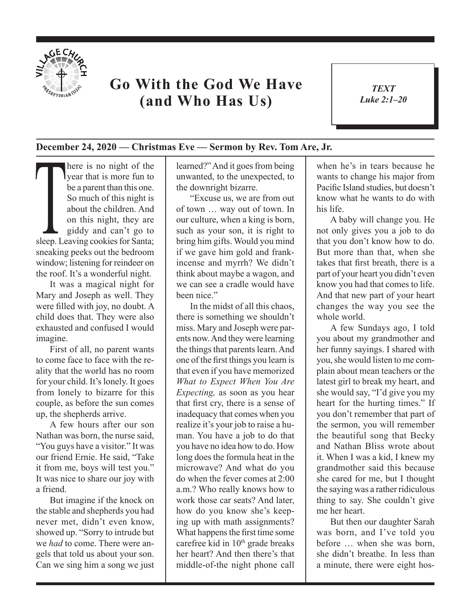

## **Go With the God We Have (and Who Has Us)**

*TEXT Luke 2:1–20* 1

## **December 24, 2020 — Christmas Eve — Sermon by Rev. Tom Are, Jr.**

There is no night of the<br>
year that is more fun to<br>
be a parent than this one.<br>
So much of this night is<br>
about the children. And<br>
on this night, they are<br>
giddy and can't go to<br>
sleep. Leaving cookies for Santa; year that is more fun to be a parent than this one. So much of this night is about the children. And on this night, they are giddy and can't go to sneaking peeks out the bedroom window; listening for reindeer on the roof. It's a wonderful night.

It was a magical night for Mary and Joseph as well. They were filled with joy, no doubt. A child does that. They were also exhausted and confused I would imagine.

First of all, no parent wants to come face to face with the reality that the world has no room for your child. It's lonely. It goes from lonely to bizarre for this couple, as before the sun comes up, the shepherds arrive.

A few hours after our son Nathan was born, the nurse said, "You guys have a visitor." It was our friend Ernie. He said, "Take it from me, boys will test you." It was nice to share our joy with a friend.

But imagine if the knock on the stable and shepherds you had never met, didn't even know, showed up. "Sorry to intrude but we *had* to come. There were angels that told us about your son. Can we sing him a song we just learned?" And it goes from being unwanted, to the unexpected, to the downright bizarre.

"Excuse us, we are from out of town … way out of town. In our culture, when a king is born, such as your son, it is right to bring him gifts. Would you mind if we gave him gold and frankincense and myrrh? We didn't think about maybe a wagon, and we can see a cradle would have been nice."

In the midst of all this chaos, there is something we shouldn't miss. Mary and Joseph were parents now. And they were learning the things that parents learn. And one of the first things you learn is that even if you have memorized *What to Expect When You Are Expecting,* as soon as you hear that first cry, there is a sense of inadequacy that comes when you realize it's your job to raise a human. You have a job to do that you have no idea how to do. How long does the formula heat in the microwave? And what do you do when the fever comes at 2:00 a.m.? Who really knows how to work those car seats? And later, how do you know she's keeping up with math assignments? What happens the first time some carefree kid in 10<sup>th</sup> grade breaks her heart? And then there's that middle-of-the night phone call

when he's in tears because he wants to change his major from Pacific Island studies, but doesn't know what he wants to do with his life.

A baby will change you. He not only gives you a job to do that you don't know how to do. But more than that, when she takes that first breath, there is a part of your heart you didn't even know you had that comes to life. And that new part of your heart changes the way you see the whole world.

A few Sundays ago, I told you about my grandmother and her funny sayings. I shared with you, she would listen to me complain about mean teachers or the latest girl to break my heart, and she would say, "I'd give you my heart for the hurting times." If you don't remember that part of the sermon, you will remember the beautiful song that Becky and Nathan Bliss wrote about it. When I was a kid, I knew my grandmother said this because she cared for me, but I thought the saying was a rather ridiculous thing to say. She couldn't give me her heart.

But then our daughter Sarah was born, and I've told you before … when she was born, she didn't breathe. In less than a minute, there were eight hos